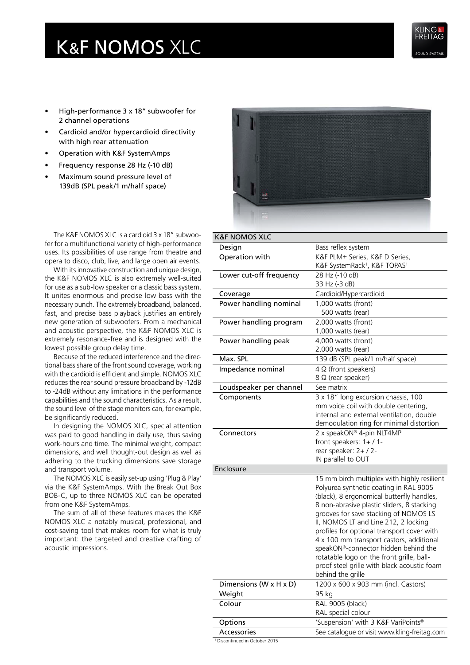## K&F NOMOS XLC



- High-performance 3 x 18" subwoofer for 2 channel operations
- Cardioid and/or hypercardioid directivity with high rear attenuation
- Operation with K&F SystemAmps
- Frequency response 28 Hz (-10 dB)
- Maximum sound pressure level of 139dB (SPL peak/1 m/half space)



The K&F NOMOS XLC is a cardioid 3 x 18" subwoofer for a multifunctional variety of high-performance uses. Its possibilities of use range from theatre and opera to disco, club, live, and large open air events.

With its innovative construction and unique design, the K&F NOMOS XLC is also extremely well-suited for use as a sub-low speaker or a classic bass system. It unites enormous and precise low bass with the necessary punch. The extremely broadband, balanced, fast, and precise bass playback justifies an entirely new generation of subwoofers. From a mechanical and acoustic perspective, the K&F NOMOS XLC is extremely resonance-free and is designed with the lowest possible group delay time.

Because of the reduced interference and the directional bass share of the front sound coverage, working with the cardioid is efficient and simple. NOMOS XLC reduces the rear sound pressure broadband by -12dB to -24dB without any limitations in the performance capabilities and the sound characteristics. As a result, the sound level of the stage monitors can, for example, be significantly reduced.

In designing the NOMOS XLC, special attention was paid to good handling in daily use, thus saving work-hours and time. The minimal weight, compact dimensions, and well thought-out design as well as adhering to the trucking dimensions save storage and transport volume.

The NOMOS XLC is easily set-up using 'Plug & Play' via the K&F SystemAmps. With the Break Out Box BOB-C, up to three NOMOS XLC can be operated from one K&F SystemAmps.

The sum of all of these features makes the K&F NOMOS XLC a notably musical, professional, and cost-saving tool that makes room for what is truly important: the targeted and creative crafting of acoustic impressions.

| <b>K&amp;F NOMOS XLC</b> |                                                      |
|--------------------------|------------------------------------------------------|
| Design                   | Bass reflex system                                   |
| Operation with           | K&F PLM+ Series, K&F D Series,                       |
|                          | K&F SystemRack <sup>1</sup> , K&F TOPAS <sup>1</sup> |
| Lower cut-off frequency  | 28 Hz (-10 dB)                                       |
|                          | 33 Hz (-3 dB)                                        |
| Coverage                 | Cardioid/Hypercardioid                               |
| Power handling nominal   | 1,000 watts (front)                                  |
|                          | 500 watts (rear)                                     |
| Power handling program   | 2,000 watts (front)                                  |
|                          | 1,000 watts (rear)                                   |
| Power handling peak      | 4,000 watts (front)                                  |
|                          | 2,000 watts (rear)                                   |
| Max. SPL                 | 139 dB (SPL peak/1 m/half space)                     |
| Impedance nominal        | $4 \Omega$ (front speakers)                          |
|                          | $8 \Omega$ (rear speaker)                            |
| Loudspeaker per channel  | See matrix                                           |
| Components               | 3 x 18" long excursion chassis, 100                  |
|                          | mm voice coil with double centering,                 |
|                          | internal and external ventilation, double            |
|                          | demodulation ring for minimal distortion             |
| Connectors               | 2 x speakON® 4-pin NLT4MP                            |
|                          | front speakers: 1+/1-<br>rear speaker: 2+ / 2-       |
|                          | IN parallel to OUT                                   |
| Enclosure                |                                                      |
|                          | 15 mm birch multiplex with highly resilient          |
|                          | Polyurea synthetic coating in RAL 9005               |
|                          | (black), 8 ergonomical butterfly handles,            |
|                          | 8 non-abrasive plastic sliders, 8 stacking           |
|                          | grooves for save stacking of NOMOS LS                |
|                          | II, NOMOS LT and Line 212, 2 locking                 |
|                          | profiles for optional transport cover with           |
|                          | 4 x 100 mm transport castors, additional             |
|                          | speakON®-connector hidden behind the                 |
|                          | rotatable logo on the front grille, ball-            |
|                          | proof steel grille with black acoustic foam          |
|                          | behind the grille                                    |
| Dimensions (W x H x D)   | 1200 x 600 x 903 mm (incl. Castors)                  |
| Weight                   | 95 kg                                                |
| Colour                   | <b>RAL 9005 (black)</b>                              |
|                          | RAL special colour                                   |
| Options                  | 'Suspension' with 3 K&F VariPoints®                  |
| <b>Accessories</b>       | See catalogue or visit www.kling-freitag.com         |
|                          |                                                      |

1 Discontinued in October 2015